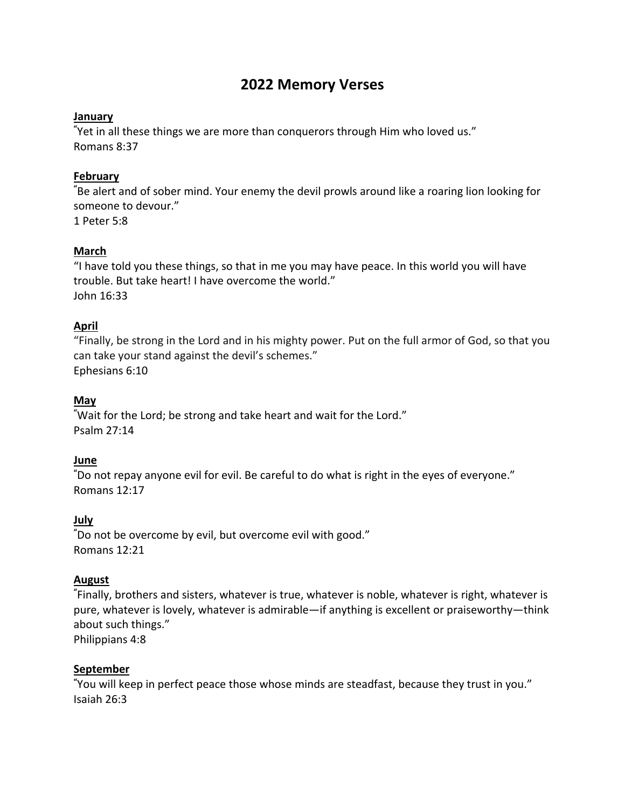# **2022 Memory Verses**

### **January**

**"** Yet in all these things we are more than conquerors through Him who loved us." Romans 8:37

## **February**

**"** Be alert and of sober mind. Your enemy the devil prowls around like a roaring lion looking for someone to devour." 1 Peter 5:8

### **March**

"I have told you these things, so that in me you may have peace. In this world you will have trouble. But take heart! I have overcome the world." John 16:33

### **April**

"Finally, be strong in the Lord and in his mighty power. Put on the full armor of God, so that you can take your stand against the devil's schemes." Ephesians 6:10

### **May**

**"** Wait for the Lord; be strong and take heart and wait for the Lord." Psalm 27:14

### **June**

**"** Do not repay anyone evil for evil. Be careful to do what is right in the eyes of everyone." Romans 12:17

# **July**

**"** Do not be overcome by evil, but overcome evil with good." Romans 12:21

### **August**

**"** Finally, brothers and sisters, whatever is true, whatever is noble, whatever is right, whatever is pure, whatever is lovely, whatever is admirable—if anything is excellent or praiseworthy—think about such things."

Philippians 4:8

### **September**

**"** You will keep in perfect peace those whose minds are steadfast, because they trust in you." Isaiah 26:3